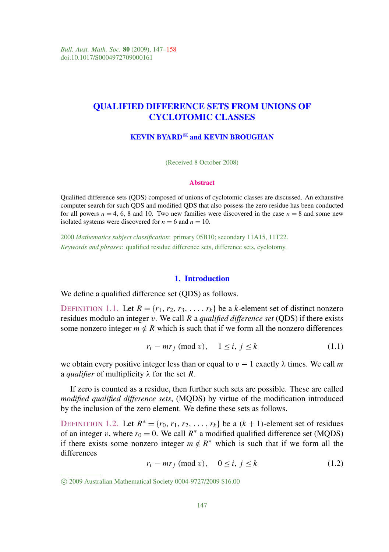*Bull. Aust. Math. Soc.* 80 (2009), 147–158 doi:10.1017/S0004972709000161

# QUALIFIED DIFFERENCE SETS FROM UNIONS OF CYCLOTOMIC CLASSES

# KEVIN BYARD $\boxtimes$  and KEVIN BROUGHAN

(Received 8 October 2008)

#### **Abstract**

Qualified difference sets (QDS) composed of unions of cyclotomic classes are discussed. An exhaustive computer search for such QDS and modified QDS that also possess the zero residue has been conducted for all powers  $n = 4, 6, 8$  and 10. Two new families were discovered in the case  $n = 8$  and some new isolated systems were discovered for  $n = 6$  and  $n = 10$ .

2000 *Mathematics subject classification*: primary 05B10; secondary 11A15, 11T22. *Keywords and phrases*: qualified residue difference sets, difference sets, cyclotomy.

#### 1. Introduction

We define a qualified difference set (ODS) as follows.

DEFINITION 1.1. Let  $R = \{r_1, r_2, r_3, \ldots, r_k\}$  be a *k*-element set of distinct nonzero residues modulo an integer v. We call *R* a *qualified difference set* (QDS) if there exists some nonzero integer  $m \notin R$  which is such that if we form all the nonzero differences

<span id="page-0-0"></span>
$$
r_i - mr_j \pmod{v}, \quad 1 \le i, j \le k \tag{1.1}
$$

we obtain every positive integer less than or equal to  $v - 1$  exactly  $\lambda$  times. We call m a *qualifier* of multiplicity λ for the set *R*.

If zero is counted as a residue, then further such sets are possible. These are called *modified qualified difference sets*, (MQDS) by virtue of the modification introduced by the inclusion of the zero element. We define these sets as follows.

DEFINITION 1.2. Let  $R^* = \{r_0, r_1, r_2, \ldots, r_k\}$  be a  $(k + 1)$ -element set of residues of an integer v, where  $r_0 = 0$ . We call  $R^*$  a modified qualified difference set (MQDS) if there exists some nonzero integer  $m \notin R^*$  which is such that if we form all the differences

<span id="page-0-1"></span> $r_i - mr_j \pmod{v}, \quad 0 \le i, j \le k$  (1.2)

c 2009 Australian Mathematical Society 0004-9727/2009 \$16.00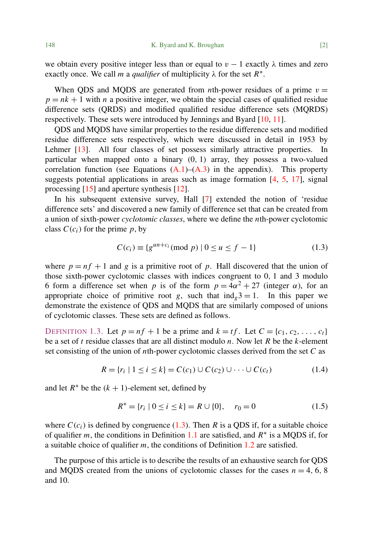we obtain every positive integer less than or equal to  $v - 1$  exactly  $\lambda$  times and zero exactly once. We call *m* a *qualifier* of multiplicity  $\lambda$  for the set  $R^*$ .

When QDS and MQDS are generated from *n*th-power residues of a prime  $v =$  $p = nk + 1$  with *n* a positive integer, we obtain the special cases of qualified residue difference sets (QRDS) and modified qualified residue difference sets (MQRDS) respectively. These sets were introduced by Jennings and Byard [\[10,](#page-11-0) [11\]](#page-11-1).

QDS and MQDS have similar properties to the residue difference sets and modified residue difference sets respectively, which were discussed in detail in 1953 by Lehmer [\[13\]](#page-11-2). All four classes of set possess similarly attractive properties. In particular when mapped onto a binary (0, 1) array, they possess a two-valued correlation function (see Equations  $(A.1)$ – $(A.3)$  in the appendix). This property suggests potential applications in areas such as image formation  $[4, 5, 17]$  $[4, 5, 17]$  $[4, 5, 17]$  $[4, 5, 17]$  $[4, 5, 17]$ , signal processing [\[15\]](#page-11-6) and aperture synthesis [\[12\]](#page-11-7).

In his subsequent extensive survey, Hall [\[7\]](#page-11-8) extended the notion of 'residue difference sets' and discovered a new family of difference set that can be created from a union of sixth-power *cyclotomic classes*, where we define the *n*th-power cyclotomic class  $C(c_i)$  for the prime *p*, by

<span id="page-1-0"></span>
$$
C(c_i) \equiv \{g^{un+c_i} \pmod{p} \mid 0 \le u \le f - 1\}
$$
 (1.3)

where  $p = nf + 1$  and g is a primitive root of p. Hall discovered that the union of those sixth-power cyclotomic classes with indices congruent to 0, 1 and 3 modulo 6 form a difference set when *p* is of the form  $p = 4\alpha^2 + 27$  (integer  $\alpha$ ), for an appropriate choice of primitive root *g*, such that  $ind_e 3 = 1$ . In this paper we demonstrate the existence of QDS and MQDS that are similarly composed of unions of cyclotomic classes. These sets are defined as follows.

DEFINITION 1.3. Let  $p = nf + 1$  be a prime and  $k = tf$ . Let  $C = \{c_1, c_2, ..., c_t\}$ be a set of *t* residue classes that are all distinct modulo *n*. Now let *R* be the *k*-element set consisting of the union of *n*th-power cyclotomic classes derived from the set *C* as

$$
R = \{r_i \mid 1 \le i \le k\} = C(c_1) \cup C(c_2) \cup \dots \cup C(c_t)
$$
 (1.4)

and let  $R^*$  be the  $(k + 1)$ -element set, defined by

$$
R^* = \{r_i \mid 0 \le i \le k\} = R \cup \{0\}, \quad r_0 = 0 \tag{1.5}
$$

where  $C(c_i)$  is defined by congruence [\(1.3\)](#page-1-0). Then *R* is a QDS if, for a suitable choice of qualifier  $m$ , the conditions in Definition [1.1](#page-0-0) are satisfied, and  $R^*$  is a MQDS if, for a suitable choice of qualifier *m*, the conditions of Definition [1.2](#page-0-1) are satisfied.

The purpose of this article is to describe the results of an exhaustive search for QDS and MQDS created from the unions of cyclotomic classes for the cases  $n = 4, 6, 8$ and 10.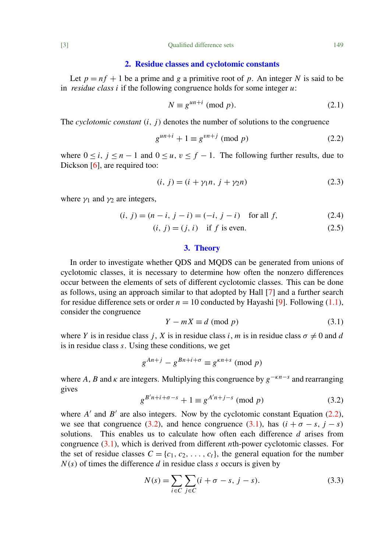#### 2. Residue classes and cyclotomic constants

Let  $p = nf + 1$  be a prime and g a primitive root of p. An integer N is said to be in *residue class i* if the following congruence holds for some integer *u*:

$$
N \equiv g^{un+i} \pmod{p}.
$$
 (2.1)

The *cyclotomic constant* (*i*, *j*) denotes the number of solutions to the congruence

<span id="page-2-0"></span>
$$
g^{un+i} + 1 \equiv g^{vn+j} \pmod{p} \tag{2.2}
$$

where  $0 \le i, j \le n - 1$  and  $0 \le u, v \le f - 1$ . The following further results, due to Dickson [\[6\]](#page-11-9), are required too:

<span id="page-2-5"></span><span id="page-2-3"></span>
$$
(i, j) = (i + \gamma_1 n, j + \gamma_2 n)
$$
\n(2.3)

where  $\gamma_1$  and  $\gamma_2$  are integers,

$$
(i, j) = (n - i, j - i) = (-i, j - i) \text{ for all } f,
$$
\n(2.4)

$$
(i, j) = (j, i) \quad \text{if } f \text{ is even.} \tag{2.5}
$$

# <span id="page-2-6"></span>3. Theory

In order to investigate whether QDS and MQDS can be generated from unions of cyclotomic classes, it is necessary to determine how often the nonzero differences occur between the elements of sets of different cyclotomic classes. This can be done as follows, using an approach similar to that adopted by Hall [\[7\]](#page-11-8) and a further search for residue difference sets or order  $n = 10$  conducted by Hayashi [\[9\]](#page-11-10). Following [\(1.1\)](#page-0-0), consider the congruence

<span id="page-2-2"></span>
$$
Y - mX \equiv d \pmod{p} \tag{3.1}
$$

where *Y* is in residue class *j*, *X* is in residue class *i*, *m* is in residue class  $\sigma \neq 0$  and *d* is in residue class *s*. Using these conditions, we get

$$
g^{An+j} - g^{Bn+i+\sigma} \equiv g^{\kappa n+s} \pmod{p}
$$

where *A*, *B* and  $\kappa$  are integers. Multiplying this congruence by  $g^{-\kappa n-s}$  and rearranging gives

<span id="page-2-1"></span>
$$
g^{B'n+i+\sigma-s} + 1 \equiv g^{A'n+j-s} \pmod{p}
$$
 (3.2)

where  $A'$  and  $B'$  are also integers. Now by the cyclotomic constant Equation [\(2.2\)](#page-2-0), we see that congruence [\(3.2\)](#page-2-1), and hence congruence [\(3.1\)](#page-2-2), has  $(i + \sigma - s, i - s)$ solutions. This enables us to calculate how often each difference *d* arises from congruence [\(3.1\)](#page-2-2), which is derived from different *n*th-power cyclotomic classes. For the set of residue classes  $C = \{c_1, c_2, \ldots, c_t\}$ , the general equation for the number  $N(s)$  of times the difference *d* in residue class *s* occurs is given by

<span id="page-2-4"></span>
$$
N(s) = \sum_{i \in C} \sum_{j \in C} (i + \sigma - s, j - s).
$$
 (3.3)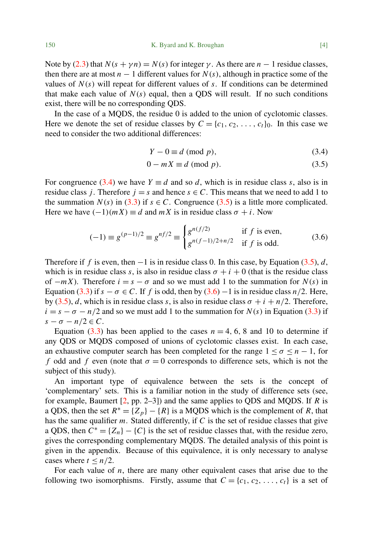150 K. Byard and K. Broughan [4]

Note by [\(2.3\)](#page-2-3) that  $N(s + \gamma n) = N(s)$  for integer  $\gamma$ . As there are  $n - 1$  residue classes, then there are at most  $n - 1$  different values for  $N(s)$ , although in practice some of the values of  $N(s)$  will repeat for different values of  $s$ . If conditions can be determined that make each value of  $N(s)$  equal, then a QDS will result. If no such conditions exist, there will be no corresponding QDS.

In the case of a MQDS, the residue 0 is added to the union of cyclotomic classes. Here we denote the set of residue classes by  $C = \{c_1, c_2, \ldots, c_t\}_0$ . In this case we need to consider the two additional differences:

<span id="page-3-1"></span><span id="page-3-0"></span>
$$
Y - 0 \equiv d \pmod{p},\tag{3.4}
$$

$$
0 - mX \equiv d \pmod{p}.
$$
 (3.5)

For congruence [\(3.4\)](#page-3-0) we have  $Y \equiv d$  and so d, which is in residue class s, also is in residue class *j*. Therefore  $j = s$  and hence  $s \in C$ . This means that we need to add 1 to the summation  $N(s)$  in [\(3.3\)](#page-2-4) if  $s \in C$ . Congruence [\(3.5\)](#page-3-1) is a little more complicated. Here we have  $(-1)(mX) \equiv d$  and  $mX$  is in residue class  $\sigma + i$ . Now

<span id="page-3-2"></span>
$$
(-1) \equiv g^{(p-1)/2} \equiv g^{nf/2} \equiv \begin{cases} g^{n(f/2)} & \text{if } f \text{ is even,} \\ g^{n(f-1)/2 + n/2} & \text{if } f \text{ is odd.} \end{cases}
$$
(3.6)

Therefore if *f* is even, then −1 is in residue class 0. In this case, by Equation [\(3.5\)](#page-3-1), *d*, which is in residue class *s*, is also in residue class  $\sigma + i + 0$  (that is the residue class of  $-mX$ ). Therefore  $i = s - \sigma$  and so we must add 1 to the summation for  $N(s)$  in Equation [\(3.3\)](#page-2-4) if  $s - \sigma \in C$ . If f is odd, then by [\(3.6\)](#page-3-2) – 1 is in residue class  $n/2$ . Here, by [\(3.5\)](#page-3-1), *d*, which is in residue class *s*, is also in residue class  $\sigma + i + n/2$ . Therefore,  $i = s - \sigma - n/2$  and so we must add 1 to the summation for  $N(s)$  in Equation [\(3.3\)](#page-2-4) if  $s - \sigma - n/2 \in C$ .

Equation [\(3.3\)](#page-2-4) has been applied to the cases  $n = 4, 6, 8$  and 10 to determine if any QDS or MQDS composed of unions of cyclotomic classes exist. In each case, an exhaustive computer search has been completed for the range  $1 < \sigma < n - 1$ , for *f* odd and *f* even (note that  $\sigma = 0$  corresponds to difference sets, which is not the subject of this study).

An important type of equivalence between the sets is the concept of 'complementary' sets. This is a familiar notion in the study of difference sets (see, for example, Baumert [\[2,](#page-11-11) pp. 2–3]) and the same applies to QDS and MQDS. If *R* is a QDS, then the set  $R^* = \{Z_p\} - \{R\}$  is a MQDS which is the complement of *R*, that has the same qualifier *m*. Stated differently, if *C* is the set of residue classes that give a QDS, then  $C^* = \{Z_n\} - \{C\}$  is the set of residue classes that, with the residue zero, gives the corresponding complementary MQDS. The detailed analysis of this point is given in the appendix. Because of this equivalence, it is only necessary to analyse cases where  $t \leq n/2$ .

For each value of *n*, there are many other equivalent cases that arise due to the following two isomorphisms. Firstly, assume that  $C = \{c_1, c_2, \ldots, c_t\}$  is a set of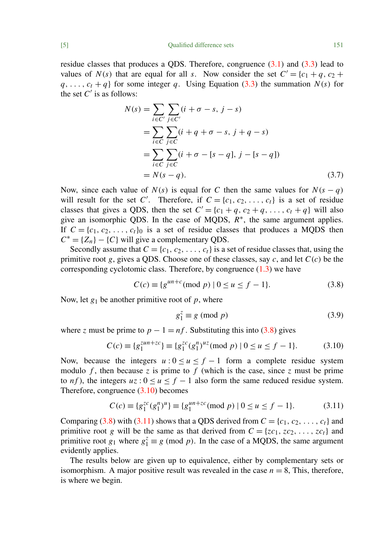residue classes that produces a QDS. Therefore, congruence  $(3.1)$  and  $(3.3)$  lead to values of  $N(s)$  that are equal for all *s*. Now consider the set  $C' = \{c_1 + q, c_2 + q\}$  $q, \ldots, c_t + q$  for some integer *q*. Using Equation [\(3.3\)](#page-2-4) the summation  $N(s)$  for the set  $C'$  is as follows:

$$
N(s) = \sum_{i \in C'} \sum_{j \in C'} (i + \sigma - s, j - s)
$$
  
= 
$$
\sum_{i \in C} \sum_{j \in C} (i + q + \sigma - s, j + q - s)
$$
  
= 
$$
\sum_{i \in C} \sum_{j \in C} (i + \sigma - [s - q], j - [s - q])
$$
  
= 
$$
N(s - q).
$$
 (3.7)

Now, since each value of  $N(s)$  is equal for C then the same values for  $N(s - q)$ will result for the set *C'*. Therefore, if  $C = \{c_1, c_2, \ldots, c_t\}$  is a set of residue classes that gives a QDS, then the set  $C' = \{c_1 + q, c_2 + q, \ldots, c_t + q\}$  will also give an isomorphic QDS. In the case of MQDS,  $R^*$ , the same argument applies. If  $C = \{c_1, c_2, \ldots, c_t\}$  is a set of residue classes that produces a MQDS then  $C^* = \{Z_n\} - \{C\}$  will give a complementary QDS.

Secondly assume that  $C = \{c_1, c_2, \ldots, c_t\}$  is a set of residue classes that, using the primitive root *g*, gives a QDS. Choose one of these classes, say *c*, and let *C*(*c*) be the corresponding cyclotomic class. Therefore, by congruence  $(1.3)$  we have

<span id="page-4-0"></span>
$$
C(c) \equiv \{g^{un+c} \pmod{p} \mid 0 \le u \le f - 1\}.
$$
 (3.8)

Now, let  $g_1$  be another primitive root of  $p$ , where

$$
g_1^z \equiv g \pmod{p} \tag{3.9}
$$

where *z* must be prime to  $p - 1 = nf$ . Substituting this into [\(3.8\)](#page-4-0) gives

<span id="page-4-1"></span>
$$
C(c) \equiv \{g_1^{zun+zc}\} \equiv \{g_1^{zc}(g_1^n)^{uz} \pmod{p} \mid 0 \le u \le f - 1\}.
$$
 (3.10)

Now, because the integers  $u: 0 \le u \le f-1$  form a complete residue system modulo  $f$ , then because  $z$  is prime to  $f$  (which is the case, since  $z$  must be prime to *nf*), the integers  $uz: 0 \le u \le f - 1$  also form the same reduced residue system. Therefore, congruence [\(3.10\)](#page-4-1) becomes

<span id="page-4-2"></span>
$$
C(c) \equiv \{g_1^{zc}(g_1^n)^u\} \equiv \{g_1^{un+zc} \pmod{p} \mid 0 \le u \le f - 1\}.
$$
 (3.11)

Comparing [\(3.8\)](#page-4-0) with [\(3.11\)](#page-4-2) shows that a QDS derived from  $C = \{c_1, c_2, \ldots, c_t\}$  and primitive root *g* will be the same as that derived from  $C = \{zc_1, xc_2, \ldots, xc_t\}$  and primitive root  $g_1$  where  $g_1^z \equiv g \pmod{p}$ . In the case of a MQDS, the same argument evidently applies.

The results below are given up to equivalence, either by complementary sets or isomorphism. A major positive result was revealed in the case  $n = 8$ , This, therefore, is where we begin.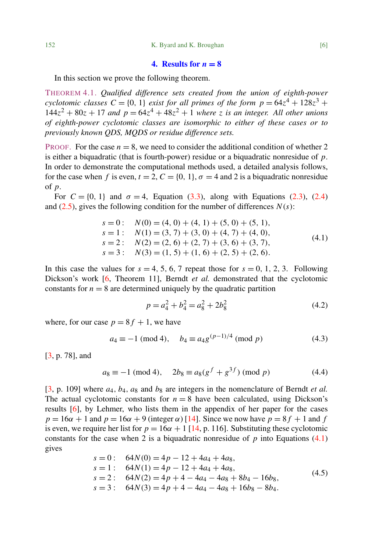## 4. Results for  $n = 8$

In this section we prove the following theorem.

<span id="page-5-3"></span>THEOREM 4.1. *Qualified difference sets created from the union of eighth-power cyclotomic classes*  $C = \{0, 1\}$  *exist for all primes of the form*  $p = 64z^4 + 128z^3 +$  $144z^2 + 80z + 17$  *and*  $p = 64z^4 + 48z^2 + 1$  *where z is an integer. All other unions of eighth-power cyclotomic classes are isomorphic to either of these cases or to previously known QDS, MQDS or residue difference sets.*

PROOF. For the case  $n = 8$ , we need to consider the additional condition of whether 2 is either a biquadratic (that is fourth-power) residue or a biquadratic nonresidue of *p*. In order to demonstrate the computational methods used, a detailed analysis follows, for the case when f is even,  $t = 2$ ,  $C = \{0, 1\}$ ,  $\sigma = 4$  and 2 is a biquadratic nonresidue of *p*.

For  $C = \{0, 1\}$  and  $\sigma = 4$ , Equation [\(3.3\)](#page-2-4), along with Equations [\(2.3\)](#page-2-3), [\(2.4\)](#page-2-5) and  $(2.5)$ , gives the following condition for the number of differences  $N(s)$ :

<span id="page-5-0"></span>
$$
s = 0: N(0) = (4, 0) + (4, 1) + (5, 0) + (5, 1),
$$
  
\n
$$
s = 1: N(1) = (3, 7) + (3, 0) + (4, 7) + (4, 0),
$$
  
\n
$$
s = 2: N(2) = (2, 6) + (2, 7) + (3, 6) + (3, 7),
$$
  
\n
$$
s = 3: N(3) = (1, 5) + (1, 6) + (2, 5) + (2, 6).
$$
\n(4.1)

In this case the values for  $s = 4, 5, 6, 7$  repeat those for  $s = 0, 1, 2, 3$ . Following Dickson's work [\[6,](#page-11-9) Theorem 11], Berndt *et al.* demonstrated that the cyclotomic constants for  $n = 8$  are determined uniquely by the quadratic partition

<span id="page-5-2"></span>
$$
p = a_4^2 + b_4^2 = a_8^2 + 2b_8^2 \tag{4.2}
$$

where, for our case  $p = 8f + 1$ , we have

<span id="page-5-4"></span>
$$
a_4 \equiv -1 \pmod{4}, \quad b_4 \equiv a_4 g^{(p-1)/4} \pmod{p} \tag{4.3}
$$

[\[3,](#page-11-12) p. 78], and

<span id="page-5-5"></span>
$$
a_8 \equiv -1 \pmod{4}, \quad 2b_8 \equiv a_8(g^f + g^{3f}) \pmod{p} \tag{4.4}
$$

 $[3, p. 109]$  $[3, p. 109]$  where  $a_4$ ,  $b_4$ ,  $a_8$  and  $b_8$  are integers in the nomenclature of Berndt *et al.* The actual cyclotomic constants for  $n = 8$  have been calculated, using Dickson's results [\[6\]](#page-11-9), by Lehmer, who lists them in the appendix of her paper for the cases  $p = 16\alpha + 1$  and  $p = 16\alpha + 9$  (integer  $\alpha$ ) [\[14\]](#page-11-13). Since we now have  $p = 8f + 1$  and f is even, we require her list for  $p = 16\alpha + 1$  [\[14,](#page-11-13) p. 116]. Substituting these cyclotomic constants for the case when 2 is a biquadratic nonresidue of  $p$  into Equations [\(4.1\)](#page-5-0) gives

<span id="page-5-1"></span>
$$
s = 0: \quad 64N(0) = 4p - 12 + 4a_4 + 4a_8,
$$
  
\n
$$
s = 1: \quad 64N(1) = 4p - 12 + 4a_4 + 4a_8,
$$
  
\n
$$
s = 2: \quad 64N(2) = 4p + 4 - 4a_4 - 4a_8 + 8b_4 - 16b_8,
$$
  
\n
$$
s = 3: \quad 64N(3) = 4p + 4 - 4a_4 - 4a_8 + 16b_8 - 8b_4.
$$
\n(4.5)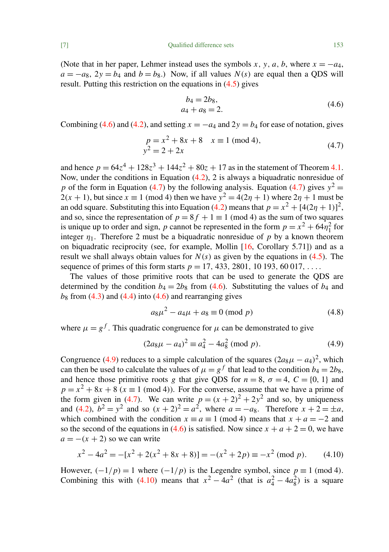[7] Qualified difference sets 153

(Note that in her paper, Lehmer instead uses the symbols *x*, *y*, *a*, *b*, where  $x = -a_4$ ,  $a = -a_8$ ,  $2y = b_4$  and  $b = b_8$ .) Now, if all values  $N(s)$  are equal then a QDS will result. Putting this restriction on the equations in [\(4.5\)](#page-5-1) gives

<span id="page-6-0"></span>
$$
b_4 = 2b_8, a_4 + a_8 = 2.
$$
 (4.6)

Combining [\(4.6\)](#page-6-0) and [\(4.2\)](#page-5-2), and setting  $x = -a_4$  and  $2y = b_4$  for ease of notation, gives

<span id="page-6-1"></span>
$$
p = x2 + 8x + 8 \t x \equiv 1 \text{ (mod 4)},
$$
  
\n
$$
y2 = 2 + 2x \t (4.7)
$$

and hence  $p = 64z^4 + 128z^3 + 144z^2 + 80z + 17$  as in the statement of Theorem [4.1.](#page-5-3) Now, under the conditions in Equation [\(4.2\)](#page-5-2), 2 is always a biquadratic nonresidue of *p* of the form in Equation [\(4.7\)](#page-6-1) by the following analysis. Equation (4.7) gives  $y^2 =$  $2(x + 1)$ , but since  $x \equiv 1 \pmod{4}$  then we have  $y^2 = 4(2\eta + 1)$  where  $2\eta + 1$  must be an odd square. Substituting this into Equation [\(4.2\)](#page-5-2) means that  $p = x^2 + [4(2\eta + 1)]^2$ , and so, since the representation of  $p = 8f + 1 \equiv 1 \pmod{4}$  as the sum of two squares is unique up to order and sign, *p* cannot be represented in the form  $p = x^2 + 64\eta_1^2$  for integer  $\eta_1$ . Therefore 2 must be a biquadratic nonresidue of p by a known theorem on biquadratic reciprocity (see, for example, Mollin  $[16,$  Corollary 5.71]) and as a result we shall always obtain values for  $N(s)$  as given by the equations in [\(4.5\)](#page-5-1). The sequence of primes of this form starts  $p = 17, 433, 2801, 10193, 60017, \ldots$ 

The values of those primitive roots that can be used to generate the QDS are determined by the condition  $b_4 = 2b_8$  from [\(4.6\)](#page-6-0). Substituting the values of  $b_4$  and  $b_8$  from  $(4.3)$  and  $(4.4)$  into  $(4.6)$  and rearranging gives

<span id="page-6-4"></span>
$$
a_8\mu^2 - a_4\mu + a_8 \equiv 0 \pmod{p} \tag{4.8}
$$

where  $\mu = g^f$ . This quadratic congruence for  $\mu$  can be demonstrated to give

<span id="page-6-2"></span>
$$
(2a_8\mu - a_4)^2 \equiv a_4^2 - 4a_8^2 \pmod{p}.
$$
 (4.9)

Congruence [\(4.9\)](#page-6-2) reduces to a simple calculation of the squares  $(2a_8\mu - a_4)^2$ , which can then be used to calculate the values of  $\mu = g^f$  that lead to the condition  $b_4 = 2b_8$ , and hence those primitive roots *g* that give QDS for  $n = 8$ ,  $\sigma = 4$ ,  $C = \{0, 1\}$  and  $p = x^2 + 8x + 8$  ( $x \equiv 1 \pmod{4}$ ). For the converse, assume that we have a prime of the form given in [\(4.7\)](#page-6-1). We can write  $p = (x + 2)^2 + 2y^2$  and so, by uniqueness and [\(4.2\)](#page-5-2),  $b^2 = y^2$  and so  $(x + 2)^2 = a^2$ , where  $a = -a_8$ . Therefore  $x + 2 = \pm a$ , which combined with the condition  $x \equiv a \equiv 1 \pmod{4}$  means that  $x + a = -2$  and so the second of the equations in [\(4.6\)](#page-6-0) is satisfied. Now since  $x + a + 2 = 0$ , we have  $a = -(x + 2)$  so we can write

<span id="page-6-3"></span>
$$
x^{2} - 4a^{2} = -[x^{2} + 2(x^{2} + 8x + 8)] = -(x^{2} + 2p) \equiv -x^{2} \pmod{p}.
$$
 (4.10)

However,  $\left(\frac{-1}{p}\right) = 1$  where  $\left(\frac{-1}{p}\right)$  is the Legendre symbol, since  $p \equiv 1 \pmod{4}$ . Combining this with [\(4.10\)](#page-6-3) means that  $x^2 - 4a^2$  (that is  $a_4^2 - 4a_8^2$ ) is a square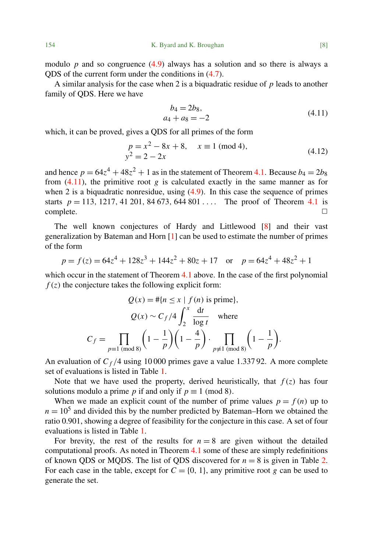modulo  $p$  and so congruence  $(4.9)$  always has a solution and so there is always a QDS of the current form under the conditions in [\(4.7\)](#page-6-1).

A similar analysis for the case when 2 is a biquadratic residue of *p* leads to another family of QDS. Here we have

<span id="page-7-0"></span>
$$
b_4 = 2b_8, a_4 + a_8 = -2
$$
 (4.11)

which, it can be proved, gives a QDS for all primes of the form

$$
p = x2 - 8x + 8, \quad x \equiv 1 \text{ (mod 4)},
$$
  
\n
$$
y2 = 2 - 2x
$$
\n(4.12)

and hence  $p = 64z^4 + 48z^2 + 1$  as in the statement of Theorem [4.1.](#page-5-3) Because  $b_4 = 2b_8$ from  $(4.11)$ , the primitive root *g* is calculated exactly in the same manner as for when 2 is a biquadratic nonresidue, using  $(4.9)$ . In this case the sequence of primes starts  $p = 113, 1217, 41201, 84673, 644801...$  The proof of Theorem [4.1](#page-5-3) is  $\Box$ complete.  $\Box$ 

The well known conjectures of Hardy and Littlewood [\[8\]](#page-11-15) and their vast generalization by Bateman and Horn [\[1\]](#page-11-16) can be used to estimate the number of primes of the form

$$
p = f(z) = 64z^4 + 128z^3 + 144z^2 + 80z + 17 \quad \text{or} \quad p = 64z^4 + 48z^2 + 1
$$

which occur in the statement of Theorem [4.1](#page-5-3) above. In the case of the first polynomial  $f(z)$  the conjecture takes the following explicit form:

$$
Q(x) = #\{n \le x \mid f(n) \text{ is prime}\},
$$
  

$$
Q(x) \sim C_f/4 \int_2^x \frac{dt}{\log t} \text{ where}
$$
  

$$
C_f = \prod_{p \equiv 1 \pmod{8}} \left(1 - \frac{1}{p}\right) \left(1 - \frac{4}{p}\right) \cdot \prod_{p \not\equiv 1 \pmod{8}} \left(1 - \frac{1}{p}\right).
$$

An evaluation of  $C_f/4$  using 10 000 primes gave a value 1.337 92. A more complete set of evaluations is listed in Table [1.](#page-8-0)

Note that we have used the property, derived heuristically, that  $f(z)$  has four solutions modulo a prime *p* if and only if  $p \equiv 1 \pmod{8}$ .

When we made an explicit count of the number of prime values  $p = f(n)$  up to  $n = 10<sup>5</sup>$  and divided this by the number predicted by Bateman–Horn we obtained the ratio 0.901, showing a degree of feasibility for the conjecture in this case. A set of four evaluations is listed in Table [1.](#page-8-0)

For brevity, the rest of the results for  $n = 8$  are given without the detailed computational proofs. As noted in Theorem [4.1](#page-5-3) some of these are simply redefinitions of known QDS or MQDS. The list of QDS discovered for  $n = 8$  is given in Table [2.](#page-8-1) For each case in the table, except for  $C = \{0, 1\}$ , any primitive root *g* can be used to generate the set.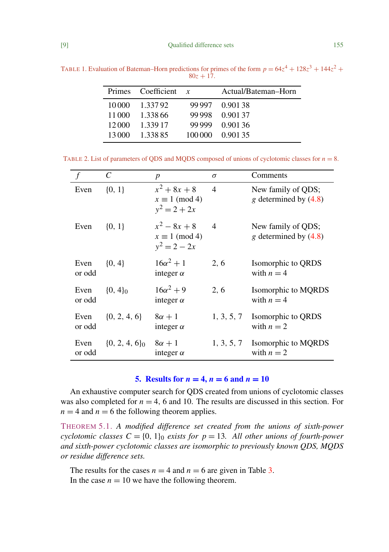[9] Qualified difference sets 155

<span id="page-8-0"></span>

|        | Primes Coefficient $x$ |        | Actual/Bateman-Horn |
|--------|------------------------|--------|---------------------|
| 10000  | 1.33792                |        | 99 997 0.901 38     |
| 11 000 | 1.338.66               | 99.998 | 0.90137             |
| 12000  | 1.339.17               | 99 999 | 0.90136             |
| 13 000 | 1.338.85               |        | 100 000 0.901 35    |

TABLE 1. Evaluation of Bateman–Horn predictions for primes of the form  $p = 64z^4 + 128z^3 + 144z^2 +$  $80z + 17$ .

TABLE 2. List of parameters of QDS and MQDS composed of unions of cyclotomic classes for *n* = 8.

<span id="page-8-1"></span>

|                | C                  | $\boldsymbol{p}$                                          | $\sigma$       | Comments                                      |
|----------------|--------------------|-----------------------------------------------------------|----------------|-----------------------------------------------|
| Even           | ${0, 1}$           | $x^2 + 8x + 8$<br>$x \equiv 1 \pmod{4}$<br>$y^2 = 2 + 2x$ | 4              | New family of QDS;<br>g determined by $(4.8)$ |
| Even           | $\{0, 1\}$         | $x^2-8x+8$<br>$x \equiv 1 \pmod{4}$<br>$y^2 = 2 - 2x$     | $\overline{4}$ | New family of QDS;<br>g determined by $(4.8)$ |
| Even<br>or odd | $\{0, 4\}$         | $16\alpha^2 + 1$<br>integer $\alpha$                      | 2, 6           | Isomorphic to QRDS<br>with $n = 4$            |
| Even<br>or odd | $\{0, 4\}_0$       | $16\alpha^2 + 9$<br>integer $\alpha$                      | 2, 6           | Isomorphic to MQRDS<br>with $n = 4$           |
| Even<br>or odd | $\{0, 2, 4, 6\}$   | $8\alpha + 1$<br>integer $\alpha$                         |                | 1, 3, 5, 7 Isomorphic to QRDS<br>with $n=2$   |
| Even<br>or odd | $\{0, 2, 4, 6\}_0$ | $8\alpha + 1$<br>integer $\alpha$                         |                | 1, 3, 5, 7 Isomorphic to MQRDS<br>with $n=2$  |

# 5. Results for  $n = 4$ ,  $n = 6$  and  $n = 10$

An exhaustive computer search for QDS created from unions of cyclotomic classes was also completed for  $n = 4$ , 6 and 10. The results are discussed in this section. For  $n = 4$  and  $n = 6$  the following theorem applies.

THEOREM 5.1. *A modified difference set created from the unions of sixth-power cyclotomic classes*  $C = \{0, 1\}$  *exists for p* = 13*. All other unions of fourth-power and sixth-power cyclotomic classes are isomorphic to previously known QDS, MQDS or residue difference sets.*

The results for the cases  $n = 4$  and  $n = 6$  are given in Table [3.](#page-9-0) In the case  $n = 10$  we have the following theorem.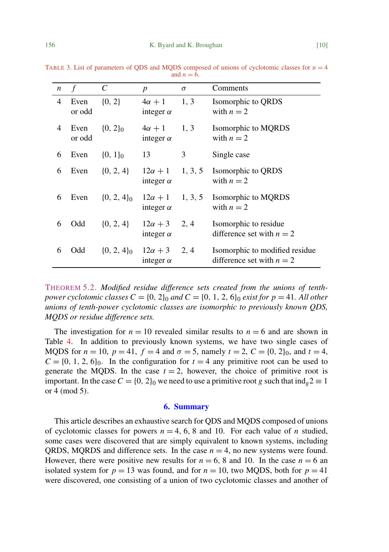<span id="page-9-0"></span>

| $\boldsymbol{n}$ | $\mathcal{f}$  | $\mathcal{C}_{0}^{0}$ | $\boldsymbol{p}$                   | $\sigma$ | Comments                                                      |
|------------------|----------------|-----------------------|------------------------------------|----------|---------------------------------------------------------------|
| 4                | Even<br>or odd | ${0, 2}$              | $4\alpha + 1$<br>integer $\alpha$  | 1, 3     | Isomorphic to QRDS<br>with $n=2$                              |
| 4                | Even<br>or odd | $\{0, 2\}_0$          | $4\alpha + 1$<br>integer $\alpha$  | 1, 3     | Isomorphic to MQRDS<br>with $n=2$                             |
| 6                | Even           | $\{0, 1\}_0$          | 13                                 | 3        | Single case                                                   |
| 6                | Even           | $\{0, 2, 4\}$         | $12\alpha + 1$<br>integer $\alpha$ | 1, 3, 5  | Isomorphic to QRDS<br>with $n=2$                              |
| 6                | Even           | $\{0, 2, 4\}_0$       | $12\alpha + 1$<br>integer $\alpha$ | 1, 3, 5  | Isomorphic to MQRDS<br>with $n=2$                             |
| 6                | Odd            | $\{0, 2, 4\}$         | $12\alpha + 3$<br>integer $\alpha$ | 2, 4     | Isomorphic to residue<br>difference set with $n = 2$          |
| 6                | Odd            | $\{0, 2, 4\}_0$       | $12\alpha + 3$<br>integer $\alpha$ | 2, 4     | Isomorphic to modified residue<br>difference set with $n = 2$ |

TABLE 3. List of parameters of ODS and MODS composed of unions of cyclotomic classes for  $n = 4$ and  $n = 6$ .

THEOREM 5.2. *Modified residue difference sets created from the unions of tenthpower cyclotomic classes*  $C = \{0, 2\}$  *and*  $C = \{0, 1, 2, 6\}$  *exist for*  $p = 41$ *. All other unions of tenth-power cyclotomic classes are isomorphic to previously known QDS, MQDS or residue difference sets.*

The investigation for  $n = 10$  revealed similar results to  $n = 6$  and are shown in Table [4.](#page-10-2) In addition to previously known systems, we have two single cases of MQDS for  $n = 10$ ,  $p = 41$ ,  $f = 4$  and  $\sigma = 5$ , namely  $t = 2$ ,  $C = \{0, 2\}_0$ , and  $t = 4$ ,  $C = \{0, 1, 2, 6\}_0$ . In the configuration for  $t = 4$  any primitive root can be used to generate the MQDS. In the case  $t = 2$ , however, the choice of primitive root is important. In the case  $C = \{0, 2\}$  we need to use a primitive root g such that  $\text{ind}_g 2 \equiv 1$ or 4 (mod 5).

## 6. Summary

This article describes an exhaustive search for QDS and MQDS composed of unions of cyclotomic classes for powers  $n = 4, 6, 8$  and 10. For each value of *n* studied, some cases were discovered that are simply equivalent to known systems, including ORDS, MORDS and difference sets. In the case  $n = 4$ , no new systems were found. However, there were positive new results for  $n = 6$ , 8 and 10. In the case  $n = 6$  an isolated system for  $p = 13$  was found, and for  $n = 10$ , two MQDS, both for  $p = 41$ were discovered, one consisting of a union of two cyclotomic classes and another of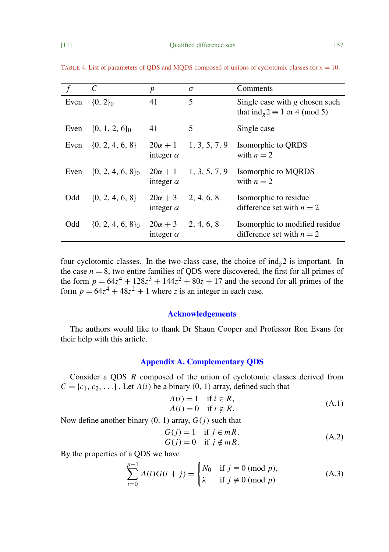|      | C                     | $\boldsymbol{p}$                              | $\sigma$      | Comments                                                                   |
|------|-----------------------|-----------------------------------------------|---------------|----------------------------------------------------------------------------|
| Even | $\{0, 2\}_0$          | 41                                            | 5             | Single case with $g$ chosen such<br>that $ind_{g} 2 \equiv 1$ or 4 (mod 5) |
| Even | $\{0, 1, 2, 6\}_0$    | 41                                            | 5             | Single case                                                                |
| Even | $\{0, 2, 4, 6, 8\}$   | $20\alpha + 1$<br>integer $\alpha$            | 1, 3, 5, 7, 9 | Isomorphic to QRDS<br>with $n = 2$                                         |
| Even | $\{0, 2, 4, 6, 8\}_0$ | $20\alpha + 1$<br>integer $\alpha$            | 1, 3, 5, 7, 9 | Isomorphic to MQRDS<br>with $n = 2$                                        |
| Odd  | $\{0, 2, 4, 6, 8\}$   | $20\alpha + 3$<br>integer $\alpha$            | 2, 4, 6, 8    | Isomorphic to residue<br>difference set with $n = 2$                       |
| Odd  | $\{0, 2, 4, 6, 8\}_0$ | $20\alpha + 3$ 2, 4, 6, 8<br>integer $\alpha$ |               | Isomorphic to modified residue<br>difference set with $n = 2$              |

<span id="page-10-2"></span>TABLE 4. List of parameters of ODS and MODS composed of unions of cyclotomic classes for  $n = 10$ .

four cyclotomic classes. In the two-class case, the choice of  $ind_{\varrho} 2$  is important. In the case  $n = 8$ , two entire families of QDS were discovered, the first for all primes of the form  $p = 64z^4 + 128z^3 + 144z^2 + 80z + 17$  and the second for all primes of the form  $p = 64z^4 + 48z^2 + 1$  where *z* is an integer in each case.

#### Acknowledgements

The authors would like to thank Dr Shaun Cooper and Professor Ron Evans for their help with this article.

### Appendix A. Complementary QDS

Consider a QDS *R* composed of the union of cyclotomic classes derived from  $C = \{c_1, c_2, \ldots\}$ . Let  $A(i)$  be a binary  $(0, 1)$  array, defined such that

<span id="page-10-0"></span>
$$
A(i) = 1 \quad \text{if } i \in R,
$$
  
\n
$$
A(i) = 0 \quad \text{if } i \notin R.
$$
\n(A.1)

Now define another binary  $(0, 1)$  array,  $G(j)$  such that

<span id="page-10-3"></span>
$$
G(j) = 1 \quad \text{if } j \in mR,
$$
  
\n
$$
G(j) = 0 \quad \text{if } j \notin mR.
$$
\n(A.2)

By the properties of a QDS we have

<span id="page-10-1"></span>
$$
\sum_{i=0}^{p-1} A(i)G(i+j) = \begin{cases} N_0 & \text{if } j \equiv 0 \pmod{p}, \\ \lambda & \text{if } j \not\equiv 0 \pmod{p} \end{cases}
$$
 (A.3)